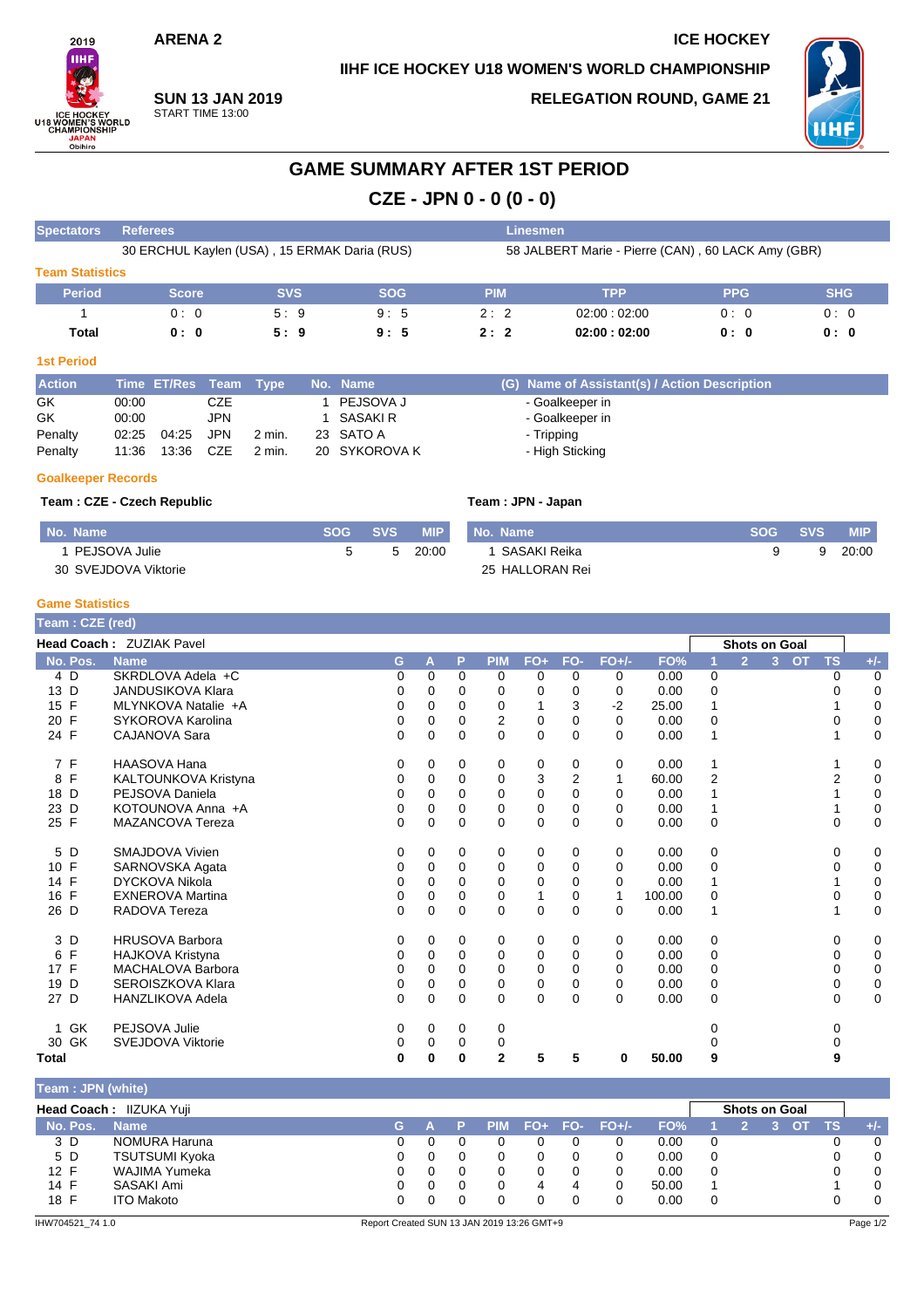## **IIHF ICE HOCKEY U18 WOMEN'S WORLD CHAMPIONSHIP**

**ARENA 2 ICE HOCKEY**



**SUN 13 JAN 2019** START TIME 13:00

**RELEGATION ROUND, GAME 21**



# **GAME SUMMARY AFTER 1ST PERIOD**

**CZE - JPN 0 - 0 (0 - 0)**

| <b>Spectators</b>      | <b>Referees</b>                              |            |            | Linesmen                                           |             |            |            |  |  |  |
|------------------------|----------------------------------------------|------------|------------|----------------------------------------------------|-------------|------------|------------|--|--|--|
|                        | 30 ERCHUL Kaylen (USA), 15 ERMAK Daria (RUS) |            |            | 58 JALBERT Marie - Pierre (CAN), 60 LACK Amy (GBR) |             |            |            |  |  |  |
| <b>Team Statistics</b> |                                              |            |            |                                                    |             |            |            |  |  |  |
| <b>Period</b>          | <b>Score</b>                                 | <b>SVS</b> | <b>SOG</b> | <b>PIM</b>                                         | <b>TPP</b>  | <b>PPG</b> | <b>SHG</b> |  |  |  |
|                        | 0:0                                          | 5:9        | 9:5        | 2:2                                                | 02:00:02:00 | 0:0        | 0:0        |  |  |  |
| Total                  | 0:0                                          | 5:9        | 9:5        | 2:2                                                | 02:00:02:00 | 0:0        | 0:0        |  |  |  |
| <b>And Doubard</b>     |                                              |            |            |                                                    |             |            |            |  |  |  |

#### **1st Period**

| <b>Action</b> |       | Time ET/Res Team Type |     |        | No. Name      | (G) Name of Assistant(s) / Action Description |
|---------------|-------|-----------------------|-----|--------|---------------|-----------------------------------------------|
| GK            | 00:00 |                       | CZE |        | PEJSOVA J     | - Goalkeeper in                               |
| GK            | 00:00 |                       | JPN |        | SASAKI R      | - Goalkeeper in                               |
| Penalty       | 02:25 | 04:25 JPN             |     | 2 min. | 23 SATO A     | - Tripping                                    |
| Penalty       | 11:36 | 13:36 CZE             |     | 2 min. | 20 SYKOROVA K | - High Sticking                               |

### **Goalkeeper Records**

**Team : CZE - Czech Republic Team : JPN - Japan**

| No. Name             | SOG SVS | <b>MIP</b> | No. Name        | <b>SOG SVS</b> | <b>MIP</b> |
|----------------------|---------|------------|-----------------|----------------|------------|
| PEJSOVA Julie        | 5       | 20:00      | 1 SASAKI Reika  |                | 20:00      |
| 30 SVEJDOVA Viktorie |         |            | 25 HALLORAN Rei |                |            |

## **Game Statistics**

| Team: CZE (red)   |                          |          |          |          |              |              |          |          |        |                |                      |                |           |           |             |
|-------------------|--------------------------|----------|----------|----------|--------------|--------------|----------|----------|--------|----------------|----------------------|----------------|-----------|-----------|-------------|
|                   | Head Coach: ZUZIAK Pavel |          |          |          |              |              |          |          |        |                | <b>Shots on Goal</b> |                |           |           |             |
| No. Pos.          | <b>Name</b>              | G        | A        | P        | <b>PIM</b>   | $FO+$        | FO-      | $FO+/-$  | FO%    |                | $\overline{2}$       | 3 <sup>1</sup> | <b>OT</b> | <b>TS</b> | $+/-$       |
| 4 D               | SKRDLOVA Adela +C        | 0        | $\Omega$ | 0        | 0            | 0            | 0        | 0        | 0.00   | 0              |                      |                |           | 0         | 0           |
| 13 D              | <b>JANDUSIKOVA Klara</b> | 0        | 0        | $\Omega$ | 0            | $\Omega$     | 0        | $\Omega$ | 0.00   | 0              |                      |                |           |           | $\mathbf 0$ |
| F<br>15           | MLYNKOVA Natalie +A      | 0        | 0        | 0        | 0            |              | 3        | $-2$     | 25.00  |                |                      |                |           |           | 0           |
| 20 F              | SYKOROVA Karolina        | 0        | 0        | 0        | 2            | 0            | 0        | $\Omega$ | 0.00   | 0              |                      |                |           |           | 0           |
| 24 F              | CAJANOVA Sara            | $\Omega$ | 0        | 0        | $\Omega$     | 0            | $\Omega$ | $\Omega$ | 0.00   | 1              |                      |                |           |           | 0           |
| 7 F               | HAASOVA Hana             | 0        | 0        | 0        | 0            | 0            | 0        | 0        | 0.00   | 1              |                      |                |           |           | 0           |
| $\mathsf{F}$<br>8 | KALTOUNKOVA Kristyna     | 0        | 0        | 0        | 0            | 3            | 2        | 1        | 60.00  | $\overline{2}$ |                      |                |           |           | 0           |
| 18 D              | PEJSOVA Daniela          | 0        | 0        | $\Omega$ | $\Omega$     | $\Omega$     | 0        | $\Omega$ | 0.00   |                |                      |                |           |           | 0           |
| D<br>23           | KOTOUNOVA Anna +A        | 0        | 0        | 0        | 0            | 0            | 0        | $\Omega$ | 0.00   | 1              |                      |                |           |           | 0           |
| 25 F              | <b>MAZANCOVA Tereza</b>  | 0        | $\Omega$ | $\Omega$ | $\Omega$     | 0            | 0        | $\Omega$ | 0.00   | $\mathbf 0$    |                      |                |           | 0         | 0           |
| 5<br>D            | <b>SMAJDOVA Vivien</b>   | 0        | 0        | 0        | 0            | 0            | 0        | 0        | 0.00   | 0              |                      |                |           | 0         | 0           |
| 10 F              | SARNOVSKA Agata          | 0        | $\Omega$ | $\Omega$ | 0            | 0            | $\Omega$ | $\Omega$ | 0.00   | 0              |                      |                |           | 0         | 0           |
| F<br>14           | <b>DYCKOVA Nikola</b>    | 0        | 0        | 0        | 0            | 0            | 0        | $\Omega$ | 0.00   |                |                      |                |           |           | $\pmb{0}$   |
| F<br>16           | <b>EXNEROVA Martina</b>  | 0        | 0        | $\Omega$ | $\Omega$     | $\mathbf{1}$ | 0        | 1        | 100.00 | 0              |                      |                |           | O         | 0           |
| 26 D              | RADOVA Tereza            | 0        | 0        | $\Omega$ | 0            | 0            | $\Omega$ | $\Omega$ | 0.00   | 1              |                      |                |           |           | 0           |
| 3 D               | <b>HRUSOVA Barbora</b>   | 0        | 0        | $\Omega$ | 0            | 0            | 0        | 0        | 0.00   | 0              |                      |                |           | 0         | 0           |
| F<br>6            | HAJKOVA Kristyna         | 0        | 0        | 0        | 0            | 0            | 0        | 0        | 0.00   | 0              |                      |                |           | 0         | 0           |
| 17 F              | MACHALOVA Barbora        | 0        | $\Omega$ | $\Omega$ | $\Omega$     | 0            | 0        | $\Omega$ | 0.00   | 0              |                      |                |           | 0         | 0           |
| D<br>19           | SEROISZKOVA Klara        | 0        | 0        | 0        | 0            | 0            | 0        | $\Omega$ | 0.00   | 0              |                      |                |           | 0         | 0           |
| 27 D              | HANZLIKOVA Adela         | $\Omega$ | $\Omega$ | $\Omega$ | $\Omega$     | $\Omega$     | $\Omega$ | $\Omega$ | 0.00   | $\Omega$       |                      |                |           | $\Omega$  | 0           |
| <b>GK</b>         | PEJSOVA Julie            | 0        | 0        | 0        | 0            |              |          |          |        |                |                      |                |           |           |             |
| 30 GK             | SVEJDOVA Viktorie        | 0        | 0        | 0        | 0            |              |          |          |        |                |                      |                |           |           |             |
| <b>Total</b>      |                          | 0        | 0        | 0        | $\mathbf{2}$ | 5            | 5        | 0        | 50.00  | 9              |                      |                |           | 9         |             |

| Team: JPN (white) |                         |    |  |            |         |         |       |   |                      |  |    |          |
|-------------------|-------------------------|----|--|------------|---------|---------|-------|---|----------------------|--|----|----------|
|                   | Head Coach: IIZUKA Yuji |    |  |            |         |         |       |   | <b>Shots on Goal</b> |  |    |          |
| No. Pos.          | <b>Name</b>             | G. |  | <b>PIM</b> | FO+ FO- | $FO+/-$ | FO%   |   |                      |  | тs | $+/-$    |
| 3 D               | NOMURA Haruna           |    |  |            |         |         | 0.00  | 0 |                      |  |    | 0        |
| 5 D               | <b>TSUTSUMI Kyoka</b>   |    |  |            |         |         | 0.00  | 0 |                      |  |    | 0        |
| 12 F              | WAJIMA Yumeka           |    |  |            |         |         | 0.00  | 0 |                      |  |    | $\Omega$ |
| 14 F              | SASAKI Ami              |    |  |            |         |         | 50.00 |   |                      |  |    | $\Omega$ |
| 18 F              | <b>ITO Makoto</b>       |    |  |            |         |         | 0.00  | 0 |                      |  |    | $\Omega$ |